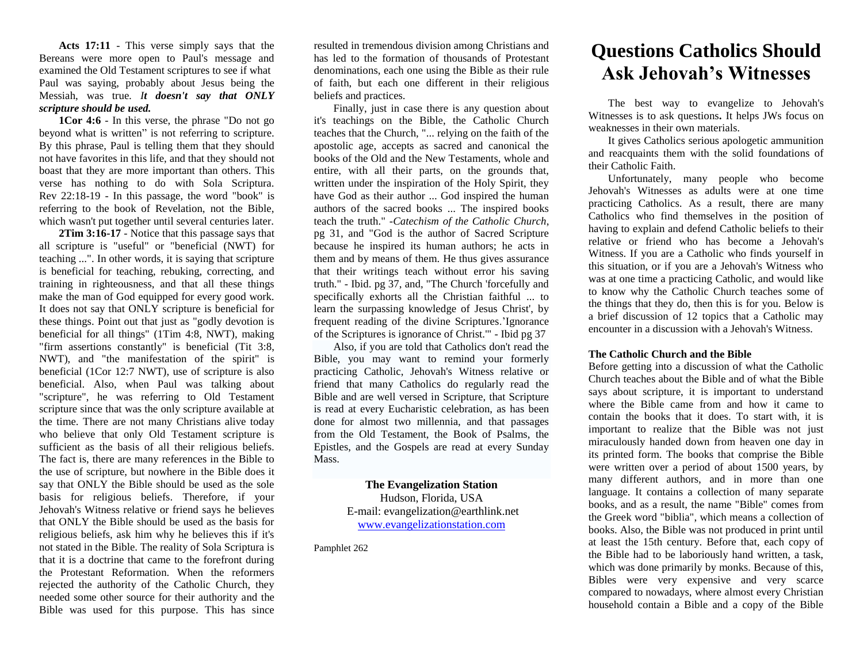**Acts 17:11** - This verse simply says that the Bereans were more open to Paul's message and examined the Old Testament scriptures to see if what Paul was saying, probably about Jesus being the Messiah, was true*. It doesn't say that ONLY scripture should be used.*

**1Cor 4:6** - In this verse, the phrase "Do not go beyond what is written" is not referring to scripture. By this phrase, Paul is telling them that they should not have favorites in this life, and that they should not boast that they are more important than others. This verse has nothing to do with Sola Scriptura. Rev 22:18-19 - In this passage, the word "book" is referring to the book of Revelation, not the Bible, which wasn't put together until several centuries later.

**2Tim 3:16-17** - Notice that this passage says that all scripture is "useful" or "beneficial (NWT) for teaching ...". In other words, it is saying that scripture is beneficial for teaching, rebuking, correcting, and training in righteousness, and that all these things make the man of God equipped for every good work. It does not say that ONLY scripture is beneficial for these things. Point out that just as "godly devotion is beneficial for all things" (1Tim 4:8, NWT), making "firm assertions constantly" is beneficial (Tit 3:8, NWT), and "the manifestation of the spirit" is beneficial (1Cor 12:7 NWT), use of scripture is also beneficial. Also, when Paul was talking about "scripture", he was referring to Old Testament scripture since that was the only scripture available at the time. There are not many Christians alive today who believe that only Old Testament scripture is sufficient as the basis of all their religious beliefs. The fact is, there are many references in the Bible to the use of scripture, but nowhere in the Bible does it say that ONLY the Bible should be used as the sole basis for religious beliefs. Therefore, if your Jehovah's Witness relative or friend says he believes that ONLY the Bible should be used as the basis for religious beliefs, ask him why he believes this if it's not stated in the Bible. The reality of Sola Scriptura is that it is a doctrine that came to the forefront during the Protestant Reformation. When the reformers rejected the authority of the Catholic Church, they needed some other source for their authority and the Bible was used for this purpose. This has since

resulted in tremendous division among Christians and has led to the formation of thousands of Protestant denominations, each one using the Bible as their rule of faith, but each one different in their religious beliefs and practices.

Finally, just in case there is any question about it's teachings on the Bible, the Catholic Church teaches that the Church, "... relying on the faith of the apostolic age, accepts as sacred and canonical the books of the Old and the New Testaments, whole and entire, with all their parts, on the grounds that, written under the inspiration of the Holy Spirit, they have God as their author ... God inspired the human authors of the sacred books ... The inspired books teach the truth." -*Catechism of the Catholic Church*, pg 31, and "God is the author of Sacred Scripture because he inspired its human authors; he acts in them and by means of them. He thus gives assurance that their writings teach without error his saving truth." - Ibid. pg 37, and, "The Church 'forcefully and specifically exhorts all the Christian faithful ... to learn the surpassing knowledge of Jesus Christ', by frequent reading of the divine Scriptures.'Ignorance of the Scriptures is ignorance of Christ.'" - Ibid pg 37

Also, if you are told that Catholics don't read the Bible, you may want to remind your formerly practicing Catholic, Jehovah's Witness relative or friend that many Catholics do regularly read the Bible and are well versed in Scripture, that Scripture is read at every Eucharistic celebration, as has been done for almost two millennia, and that passages from the Old Testament, the Book of Psalms, the Epistles, and the Gospels are read at every Sunday Mass.

> **The Evangelization Station** Hudson, Florida, USA E-mail: evangelization@earthlink.net [www.evangelizationstation.com](http://www.pjpiisoe.org/)

Pamphlet 262

## **Questions Catholics Should Ask Jehovah's Witnesses**

The best way to evangelize to Jehovah's Witnesses is to ask questions**.** It helps JWs focus on weaknesses in their own materials.

It gives Catholics serious apologetic ammunition and reacquaints them with the solid foundations of their Catholic Faith.

Unfortunately, many people who become Jehovah's Witnesses as adults were at one time practicing Catholics. As a result, there are many Catholics who find themselves in the position of having to explain and defend Catholic beliefs to their relative or friend who has become a Jehovah's Witness. If you are a Catholic who finds yourself in this situation, or if you are a Jehovah's Witness who was at one time a practicing Catholic, and would like to know why the Catholic Church teaches some of the things that they do, then this is for you. Below is a brief discussion of 12 topics that a Catholic may encounter in a discussion with a Jehovah's Witness.

## **The Catholic Church and the Bible**

Before getting into a discussion of what the Catholic Church teaches about the Bible and of what the Bible says about scripture, it is important to understand where the Bible came from and how it came to contain the books that it does. To start with, it is important to realize that the Bible was not just miraculously handed down from heaven one day in its printed form. The books that comprise the Bible were written over a period of about 1500 years, by many different authors, and in more than one language. It contains a collection of many separate books, and as a result, the name "Bible" comes from the Greek word "biblia", which means a collection of books. Also, the Bible was not produced in print until at least the 15th century. Before that, each copy of the Bible had to be laboriously hand written, a task, which was done primarily by monks. Because of this, Bibles were very expensive and very scarce compared to nowadays, where almost every Christian household contain a Bible and a copy of the Bible